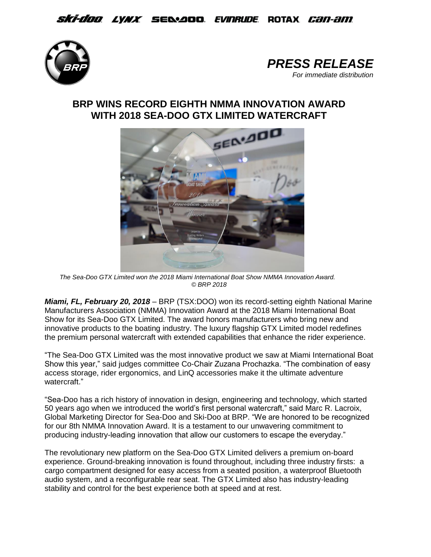*Ski-doo lynx s*e&aoo *evinrude* rotax *can-am* 





## **BRP WINS RECORD EIGHTH NMMA INNOVATION AWARD WITH 2018 SEA-DOO GTX LIMITED WATERCRAFT**



*The Sea-Doo GTX Limited won the 2018 Miami International Boat Show NMMA Innovation Award. © BRP 2018*

*Miami, FL, February 20, 2018* – BRP (TSX:DOO) won its record-setting eighth National Marine Manufacturers Association (NMMA) Innovation Award at the 2018 Miami International Boat Show for its Sea-Doo GTX Limited. The award honors manufacturers who bring new and innovative products to the boating industry. The luxury flagship GTX Limited model redefines the premium personal watercraft with extended capabilities that enhance the rider experience.

"The Sea-Doo GTX Limited was the most innovative product we saw at Miami International Boat Show this year," said judges committee Co-Chair Zuzana Prochazka. "The combination of easy access storage, rider ergonomics, and LinQ accessories make it the ultimate adventure watercraft."

"Sea-Doo has a rich history of innovation in design, engineering and technology, which started 50 years ago when we introduced the world's first personal watercraft," said Marc R. Lacroix, Global Marketing Director for Sea-Doo and Ski-Doo at BRP. "We are honored to be recognized for our 8th NMMA Innovation Award. It is a testament to our unwavering commitment to producing industry-leading innovation that allow our customers to escape the everyday."

The revolutionary new platform on the Sea-Doo GTX Limited delivers a premium on-board experience. Ground-breaking innovation is found throughout, including three industry firsts: a cargo compartment designed for easy access from a seated position, a waterproof Bluetooth audio system, and a reconfigurable rear seat. The GTX Limited also has industry-leading stability and control for the best experience both at speed and at rest.